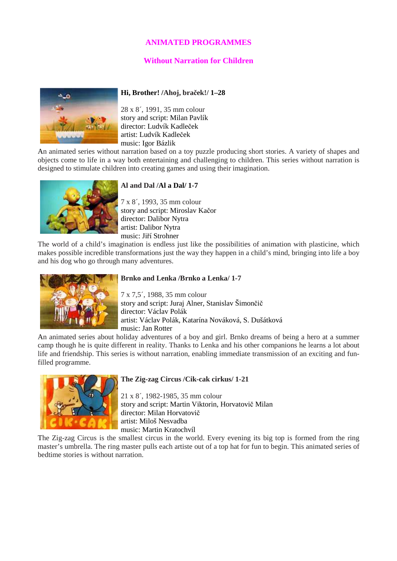# **ANIMATED PROGRAMMES**

# **Without Narration for Children**



### **Hi, Brother! /Ahoj, bra**č**ek!/ 1–28**

28 x 8´, 1991, 35 mm colour story and script: Milan Pavlík director: Ludvík Kadleček artist: Ludvík Kadleček music: Igor Bázlik

An animated series without narration based on a toy puzzle producing short stories. A variety of shapes and objects come to life in a way both entertaining and challenging to children. This series without narration is designed to stimulate children into creating games and using their imagination.



### **Al and Dal /Al a Dal/ 1-7**

7 x 8´, 1993, 35 mm colour story and script: Miroslav Kačor director: Dalibor Nytra artist: Dalibor Nytra music: Jiří Strohner

The world of a child's imagination is endless just like the possibilities of animation with plasticine, which makes possible incredible transformations just the way they happen in a child's mind, bringing into life a boy and his dog who go through many adventures.



### **Brnko and Lenka /Brnko a Lenka/ 1-7**

7 x 7,5´, 1988, 35 mm colour story and script: Juraj Alner, Stanislav Šimončič director: Václav Polák artist: Václav Polák, Katarína Nováková, S. Dušátková music: Jan Rotter

An animated series about holiday adventures of a boy and girl. Brnko dreams of being a hero at a summer camp though he is quite different in reality. Thanks to Lenka and his other companions he learns a lot about life and friendship. This series is without narration, enabling immediate transmission of an exciting and funfilled programme.



### **The Zig-zag Circus /Cik-cak cirkus/ 1-21**

21 x 8´, 1982-1985, 35 mm colour story and script: Martin Viktorin, Horvatovič Milan director: Milan Horvatovič artist: Miloš Nesvadba music: Martin Kratochvíl

The Zig-zag Circus is the smallest circus in the world. Every evening its big top is formed from the ring master's umbrella. The ring master pulls each artiste out of a top hat for fun to begin. This animated series of bedtime stories is without narration.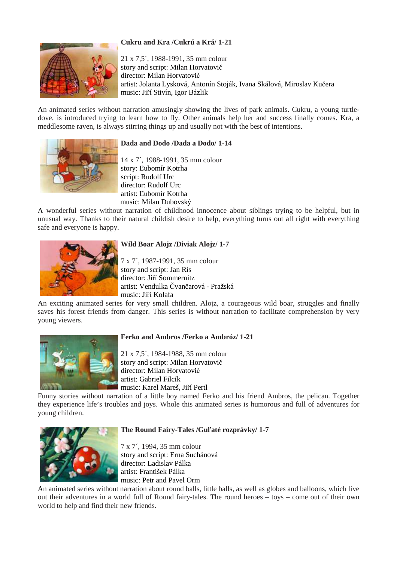# **Cukru and Kra /Cukrú a Krá/ 1-21**



21 x 7,5´, 1988-1991, 35 mm colour story and script: Milan Horvatovič director: Milan Horvatovič artist: Jolanta Lysková, Antonín Stoják, Ivana Skálová, Miroslav Kučera music: Jiří Stivín, Igor Bázlik

An animated series without narration amusingly showing the lives of park animals. Cukru, a young turtledove, is introduced trying to learn how to fly. Other animals help her and success finally comes. Kra, a meddlesome raven, is always stirring things up and usually not with the best of intentions.



### **Dada and Dodo /Dada a Dodo/ 1-14**

14 x 7´, 1988-1991, 35 mm colour story: Ľubomír Kotrha script: Rudolf Urc director: Rudolf Urc artist: Ľubomír Kotrha music: Milan Dubovský

A wonderful series without narration of childhood innocence about siblings trying to be helpful, but in unusual way. Thanks to their natural childish desire to help, everything turns out all right with everything safe and everyone is happy.



### **Wild Boar Alojz /Diviak Alojz/ 1-7**

7 x 7´, 1987-1991, 35 mm colour story and script: Jan Rís director: Jiří Sommernitz artist: Vendulka Čvančarová - Pražská music: Jiří Kolafa

An exciting animated series for very small children. Alojz, a courageous wild boar, struggles and finally saves his forest friends from danger. This series is without narration to facilitate comprehension by very young viewers.



### **Ferko and Ambros /Ferko a Ambróz/ 1-21**

21 x 7,5´, 1984-1988, 35 mm colour story and script: Milan Horvatovič director: Milan Horvatovič artist: Gabriel Filcík music: Karel Mareš, Jiří Pertl

Funny stories without narration of a little boy named Ferko and his friend Ambros, the pelican. Together they experience life's troubles and joys. Whole this animated series is humorous and full of adventures for young children.



### **The Round Fairy-Tales /Gu**ľ**até rozprávky/ 1-7**

7 x 7´, 1994, 35 mm colour story and script: Erna Suchánová director: Ladislav Pálka artist: František Pálka music: Petr and Pavel Orm

An animated series without narration about round balls, little balls, as well as globes and balloons, which live out their adventures in a world full of Round fairy-tales. The round heroes – toys – come out of their own world to help and find their new friends.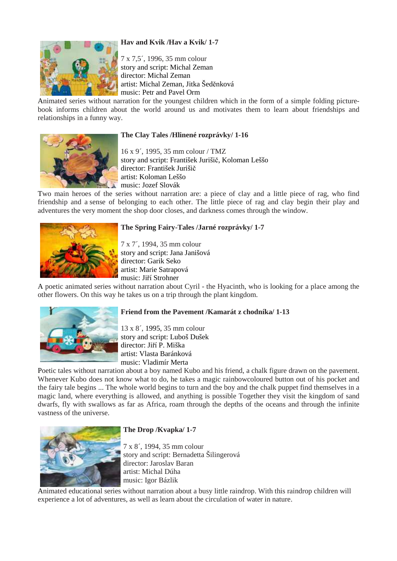# **Hav and Kvik /Hav a Kvik/ 1-7**



7 x 7,5´, 1996, 35 mm colour story and script: Michal Zeman director: Michal Zeman artist: Michal Zeman, Jitka Šeděnková music: Petr and Pavel Orm

Animated series without narration for the youngest children which in the form of a simple folding picturebook informs children about the world around us and motivates them to learn about friendships and relationships in a funny way.



### **The Clay Tales /Hlinené rozprávky/ 1-16**

16 x 9´, 1995, 35 mm colour / TMZ story and script: František Jurišič, Koloman Leššo director: František Jurišič artist: Koloman Leššo music: Jozef Slovák

Two main heroes of the series without narration are: a piece of clay and a little piece of rag, who find friendship and a sense of belonging to each other. The little piece of rag and clay begin their play and adventures the very moment the shop door closes, and darkness comes through the window.



### **The Spring Fairy-Tales /Jarné rozprávky/ 1-7**

7 x 7´, 1994, 35 mm colour story and script: Jana Janišová director: Garik Seko artist: Marie Satrapová music: Jiří Strohner

A poetic animated series without narration about Cyril - the Hyacinth, who is looking for a place among the other flowers. On this way he takes us on a trip through the plant kingdom.



# **Friend from the Pavement /Kamarát z chodníka/ 1-13**

13 x 8´, 1995, 35 mm colour story and script: Luboš Dušek director: Jiří P. Miška artist: Vlasta Baránková music: Vladimír Merta

Poetic tales without narration about a boy named Kubo and his friend, a chalk figure drawn on the pavement. Whenever Kubo does not know what to do, he takes a magic rainbowcoloured button out of his pocket and the fairy tale begins ... The whole world begins to turn and the boy and the chalk puppet find themselves in a magic land, where everything is allowed, and anything is possible Together they visit the kingdom of sand dwarfs, fly with swallows as far as Africa, roam through the depths of the oceans and through the infinite vastness of the universe.



# **The Drop /Kvapka/ 1-7**

7 x 8´, 1994, 35 mm colour story and script: Bernadetta Šilingerová director: Jaroslav Baran artist: Michal Dúha music: Igor Bázlik

Animated educational series without narration about a busy little raindrop. With this raindrop children will experience a lot of adventures, as well as learn about the circulation of water in nature.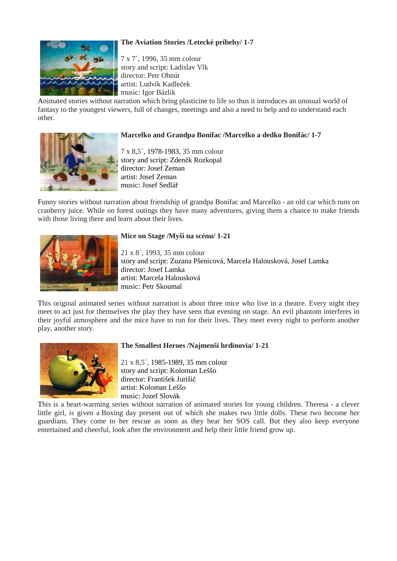# **The Aviation Stories /Letecké príbehy/ 1-7**



7 x 7´, 1996, 35 mm colour story and script: Ladislav Vlk director: Petr Ohnút artist: Ludvík Kadleček music: Igor Bázlik

Animated stories without narration which bring plasticine to life so thus it introduces an unusual world of fantasy to the youngest viewers, full of changes, meetings and also a need to help and to understand each other.

### **Marcelko and Grandpa Bonifac /Marcelko a dedko Bonifác/ 1-7**

7 x 8,5´, 1978-1983, 35 mm colour story and script: Zdeněk Rozkopal director: Josef Zeman artist: Josef Zeman music: Josef Sedlář

Funny stories without narration about friendship of grandpa Bonifac and Marcelko - an old car which runs on cranberry juice. While on forest outings they have many adventures, giving them a chance to make friends with those living there and learn about their lives.



# **Mice on Stage /Myši na scénu/ 1-21**

21 x 8´, 1993, 35 mm colour story and script: Zuzana Pšenicová, Marcela Halousková, Josef Lamka director: Josef Lamka artist: Marcela Halousková music: Petr Skoumal

This original animated series without narration is about three mice who live in a theatre. Every night they meet to act just for themselves the play they have seen that evening on stage. An evil phantom interferes in their joyful atmosphere and the mice have to run for their lives. They meet every night to perform another play, another story.



# **The Smallest Heroes /Najmenší hrdinovia/ 1-21**

21 x 8,5´, 1985-1989, 35 mm colour story and script: Koloman Leššo director: František Jurišič artist: Koloman Leššo music: Jozef Slovák

This is a heart-warming series without narration of animated stories for young children. Theresa - a clever little girl, is given a Boxing day present out of which she makes two little dolls. These two become her guardians. They come to her rescue as soon as they hear her SOS call. But they also keep everyone entertained and cheerful, look after the environment and help their little friend grow up.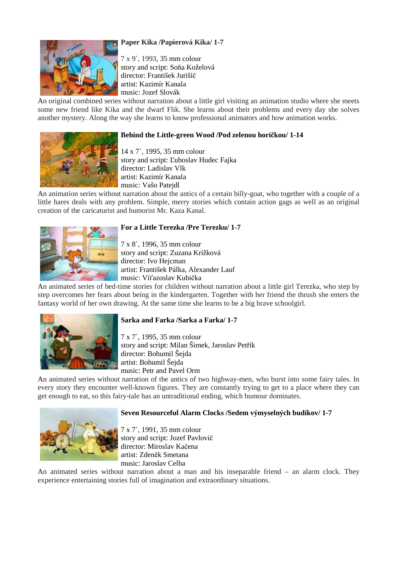# **Paper Kika /Papierová Kika/ 1-7**



7 x 9´, 1993, 35 mm colour story and script: Soňa Koželová director: František Jurišič artist: Kazimír Kanala music: Jozef Slovák

An original combined series without narration about a little girl visiting an animation studio where she meets some new friend like Kika and the dwarf Flik. She learns about their problems and every day she solves another mystery. Along the way she learns to know professional animators and how animation works.

# **Behind the Little-green Wood /Pod zelenou hori**č**kou/ 1-14**



14 x 7´, 1995, 35 mm colour story and script: Ľuboslav Hudec Fajka director: Ladislav Vlk artist: Kazimír Kanala music: Vašo Patejdl

An animation series without narration about the antics of a certain billy-goat, who together with a couple of a little hares deals with any problem. Simple, merry stories which contain action gags as well as an original creation of the caricaturist and humorist Mr. Kaza Kanal.



### **For a Little Terezka /Pre Terezku/ 1-7**

7 x 8´, 1996, 35 mm colour story and script: Zuzana Križková director: Ivo Hejcman artist: František Pálka, Alexander Lauf music: Víťazoslav Kubička

An animated series of bed-time stories for children without narration about a little girl Terezka, who step by step overcomes her fears about being in the kindergarten. Together with her friend the thrush she enters the fantasy world of her own drawing. At the same time she learns to be a big brave schoolgirl.



### **Sarka and Farka /Sarka a Farka/ 1-7**

7 x 7´, 1995, 35 mm colour story and script: Milan Šimek, Jaroslav Petřík director: Bohumil Šejda artist: Bohumil Šejda music: Petr and Pavel Orm

An animated series without narration of the antics of two highway-men, who burst into some fairy tales. In every story they encounter well-known figures. They are constantly trying to get to a place where they can get enough to eat, so this fairy-tale has an untraditional ending, which humour dominates.



### **Seven Resourceful Alarm Clocks /Sedem výmyselných budíkov/ 1-7**

7 x 7´, 1991, 35 mm colour story and script: Jozef Pavlovič director: Miroslav Kačena artist: Zdeněk Smetana music: Jaroslav Celba

An animated series without narration about a man and his inseparable friend – an alarm clock. They experience entertaining stories full of imagination and extraordinary situations.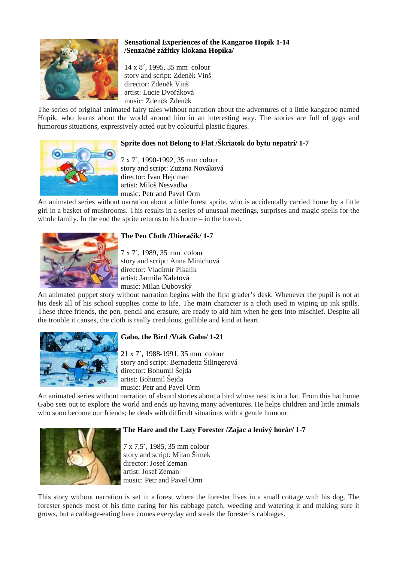

# **Sensational Experiences of the Kangaroo Hopik 1-14 /Senza**č**né zážitky klokana Hopíka/**

14 x 8´, 1995, 35 mm colour story and script: Zdeněk Vinš director: Zdeněk Vinš artist: Lucie Dvořáková music: Zdeněk Zdeněk

The series of original animated fairy tales without narration about the adventures of a little kangaroo named Hopik, who learns about the world around him in an interesting way. The stories are full of gags and humorous situations, expressively acted out by colourful plastic figures.

# **Sprite does not Belong to Flat /Škriatok do bytu nepatrí/ 1-7**

7 x 7´, 1990-1992, 35 mm colour story and script: Zuzana Nováková director: Ivan Hejcman artist: Miloš Nesvadba music: Petr and Pavel Orm

An animated series without narration about a little forest sprite, who is accidentally carried home by a little girl in a basket of mushrooms. This results in a series of unusual meetings, surprises and magic spells for the whole family. In the end the sprite returns to his home – in the forest.



# **The Pen Cloth /Utiera**č**ik/ 1-7**

7 x 7´, 1989, 35 mm colour story and script: Anna Minichová director: Vladimír Pikalík artist: Jarmila Kaletová music: Milan Dubovský

An animated puppet story without narration begins with the first grader's desk. Whenever the pupil is not at his desk all of his school supplies come to life. The main character is a cloth used in wiping up ink spills. These three friends, the pen, pencil and erasure, are ready to aid him when he gets into mischief. Despite all the trouble it causes, the cloth is really credulous, gullible and kind at heart.



# **Gabo, the Bird /Vták Gabo/ 1-21**

21 x 7´, 1988-1991, 35 mm colour story and script: Bernadetta Šilingerová director: Bohumil Šejda artist: Bohumil Šejda music: Petr and Pavel Orm

An animated series without narration of absurd stories about a bird whose nest is in a hat. From this hat home Gabo sets out to explore the world and ends up having many adventures. He helps children and little animals who soon become our friends; he deals with difficult situations with a gentle humour.



### **The Hare and the Lazy Forester /Zajac a lenivý horár/ 1-7**

7 x 7,5´, 1985, 35 mm colour story and script: Milan Šimek director: Josef Zeman artist: Josef Zeman music: Petr and Pavel Orm

This story without narration is set in a forest where the forester lives in a small cottage with his dog. The forester spends most of his time caring for his cabbage patch, weeding and watering it and making sure it grows, but a cabbage-eating hare comes everyday and steals the forester´s cabbages.